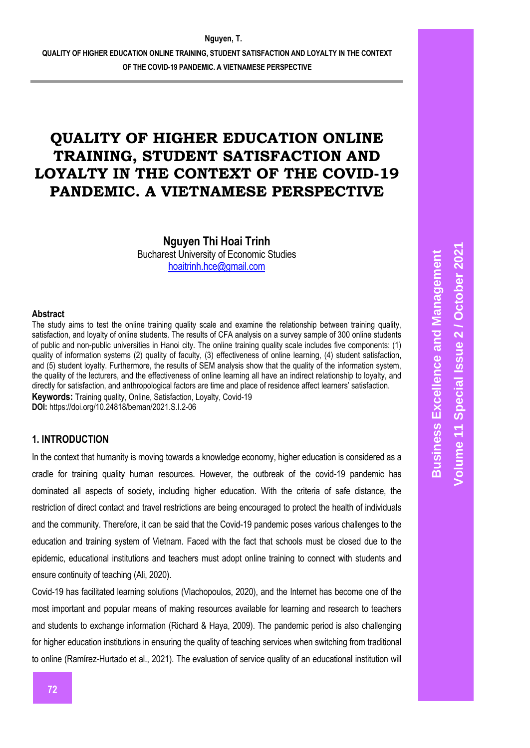**Nguyen Thi Hoai Trinh** Bucharest University of Economic Studies [hoaitrinh.hce@gmail.com](mailto:hoaitrinh.hce@gmail.com)

#### **Abstract**

The study aims to test the online training quality scale and examine the relationship between training quality, satisfaction, and loyalty of online students. The results of CFA analysis on a survey sample of 300 online students of public and non-public universities in Hanoi city. The online training quality scale includes five components: (1) quality of information systems (2) quality of faculty, (3) effectiveness of online learning, (4) student satisfaction, and (5) student loyalty. Furthermore, the results of SEM analysis show that the quality of the information system, the quality of the lecturers, and the effectiveness of online learning all have an indirect relationship to loyalty, and directly for satisfaction, and anthropological factors are time and place of residence affect learners' satisfaction. **Keywords:** Training quality, Online, Satisfaction, Loyalty, Covid-19 **DOI:** https://doi.org/10.24818/beman/2021.S.I.2-06

### **1. INTRODUCTION**

In the context that humanity is moving towards a knowledge economy, higher education is considered as a cradle for training quality human resources. However, the outbreak of the covid-19 pandemic has dominated all aspects of society, including higher education. With the criteria of safe distance, the restriction of direct contact and travel restrictions are being encouraged to protect the health of individuals and the community. Therefore, it can be said that the Covid-19 pandemic poses various challenges to the education and training system of Vietnam. Faced with the fact that schools must be closed due to the epidemic, educational institutions and teachers must adopt online training to connect with students and ensure continuity of teaching (Ali, 2020).

Covid-19 has facilitated learning solutions (Vlachopoulos, 2020), and the Internet has become one of the most important and popular means of making resources available for learning and research to teachers and students to exchange information (Richard & Haya, 2009). The pandemic period is also challenging for higher education institutions in ensuring the quality of teaching services when switching from traditional to online (Ramírez-Hurtado et al., 2021). The evaluation of service quality of an educational institution will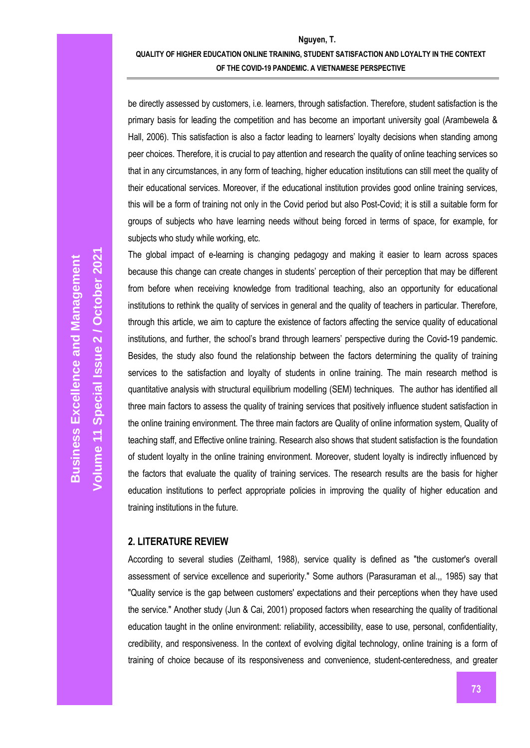be directly assessed by customers, i.e. learners, through satisfaction. Therefore, student satisfaction is the primary basis for leading the competition and has become an important university goal (Arambewela & Hall, 2006). This satisfaction is also a factor leading to learners' loyalty decisions when standing among peer choices. Therefore, it is crucial to pay attention and research the quality of online teaching services so that in any circumstances, in any form of teaching, higher education institutions can still meet the quality of their educational services. Moreover, if the educational institution provides good online training services, this will be a form of training not only in the Covid period but also Post-Covid; it is still a suitable form for groups of subjects who have learning needs without being forced in terms of space, for example, for subjects who study while working, etc.

The global impact of e-learning is changing pedagogy and making it easier to learn across spaces because this change can create changes in students' perception of their perception that may be different from before when receiving knowledge from traditional teaching, also an opportunity for educational institutions to rethink the quality of services in general and the quality of teachers in particular. Therefore, through this article, we aim to capture the existence of factors affecting the service quality of educational institutions, and further, the school's brand through learners' perspective during the Covid-19 pandemic. Besides, the study also found the relationship between the factors determining the quality of training services to the satisfaction and loyalty of students in online training. The main research method is quantitative analysis with structural equilibrium modelling (SEM) techniques. The author has identified all three main factors to assess the quality of training services that positively influence student satisfaction in the online training environment. The three main factors are Quality of online information system, Quality of teaching staff, and Effective online training. Research also shows that student satisfaction is the foundation of student loyalty in the online training environment. Moreover, student loyalty is indirectly influenced by the factors that evaluate the quality of training services. The research results are the basis for higher education institutions to perfect appropriate policies in improving the quality of higher education and training institutions in the future.

### **2. LITERATURE REVIEW**

According to several studies (Zeithaml, 1988), service quality is defined as "the customer's overall assessment of service excellence and superiority." Some authors (Parasuraman et al.,, 1985) say that "Quality service is the gap between customers' expectations and their perceptions when they have used the service." Another study (Jun & Cai, 2001) proposed factors when researching the quality of traditional education taught in the online environment: reliability, accessibility, ease to use, personal, confidentiality, credibility, and responsiveness. In the context of evolving digital technology, online training is a form of training of choice because of its responsiveness and convenience, student-centeredness, and greater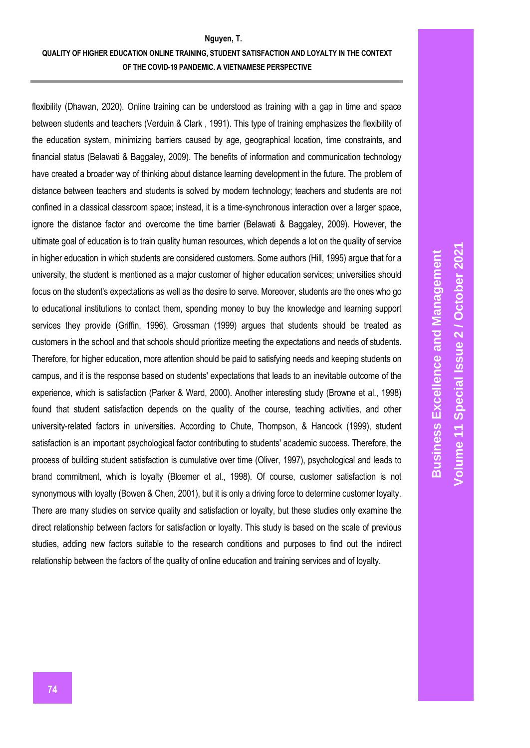flexibility (Dhawan, 2020). Online training can be understood as training with a gap in time and space between students and teachers (Verduin & Clark , 1991). This type of training emphasizes the flexibility of the education system, minimizing barriers caused by age, geographical location, time constraints, and financial status (Belawati & Baggaley, 2009). The benefits of information and communication technology have created a broader way of thinking about distance learning development in the future. The problem of distance between teachers and students is solved by modern technology; teachers and students are not confined in a classical classroom space; instead, it is a time-synchronous interaction over a larger space, ignore the distance factor and overcome the time barrier (Belawati & Baggaley, 2009). However, the ultimate goal of education is to train quality human resources, which depends a lot on the quality of service in higher education in which students are considered customers. Some authors (Hill, 1995) argue that for a university, the student is mentioned as a major customer of higher education services; universities should focus on the student's expectations as well as the desire to serve. Moreover, students are the ones who go to educational institutions to contact them, spending money to buy the knowledge and learning support services they provide (Griffin, 1996). Grossman (1999) argues that students should be treated as customers in the school and that schools should prioritize meeting the expectations and needs of students. Therefore, for higher education, more attention should be paid to satisfying needs and keeping students on campus, and it is the response based on students' expectations that leads to an inevitable outcome of the experience, which is satisfaction (Parker & Ward, 2000). Another interesting study (Browne et al., 1998) found that student satisfaction depends on the quality of the course, teaching activities, and other university-related factors in universities. According to Chute, Thompson, & Hancock (1999), student satisfaction is an important psychological factor contributing to students' academic success. Therefore, the process of building student satisfaction is cumulative over time (Oliver, 1997), psychological and leads to brand commitment, which is loyalty (Bloemer et al., 1998). Of course, customer satisfaction is not synonymous with loyalty (Bowen & Chen, 2001), but it is only a driving force to determine customer loyalty. There are many studies on service quality and satisfaction or loyalty, but these studies only examine the direct relationship between factors for satisfaction or loyalty. This study is based on the scale of previous studies, adding new factors suitable to the research conditions and purposes to find out the indirect relationship between the factors of the quality of online education and training services and of loyalty.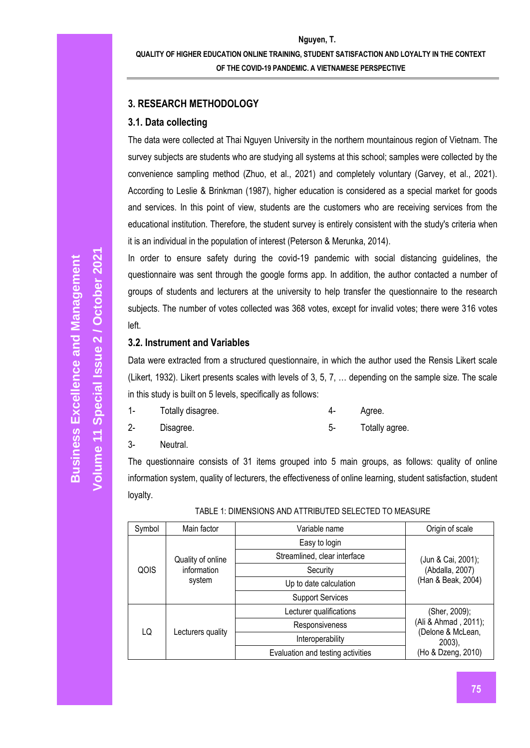# **3. RESEARCH METHODOLOGY**

# **3.1. Data collecting**

The data were collected at Thai Nguyen University in the northern mountainous region of Vietnam. The survey subjects are students who are studying all systems at this school; samples were collected by the convenience sampling method (Zhuo, et al., 2021) and completely voluntary (Garvey, et al., 2021). According to Leslie & Brinkman (1987), higher education is considered as a special market for goods and services. In this point of view, students are the customers who are receiving services from the educational institution. Therefore, the student survey is entirely consistent with the study's criteria when it is an individual in the population of interest (Peterson & Merunka, 2014).

In order to ensure safety during the covid-19 pandemic with social distancing guidelines, the questionnaire was sent through the google forms app. In addition, the author contacted a number of groups of students and lecturers at the university to help transfer the questionnaire to the research subjects. The number of votes collected was 368 votes, except for invalid votes; there were 316 votes left.

# **3.2. Instrument and Variables**

Data were extracted from a structured questionnaire, in which the author used the Rensis Likert scale (Likert, 1932). Likert presents scales with levels of 3, 5, 7, … depending on the sample size. The scale in this study is built on 5 levels, specifically as follows:

- 1- Totally disagree. 4- Agree.
- 2- Disagree. 5- Totally agree.

3- Neutral.

The questionnaire consists of 31 items grouped into 5 main groups, as follows: quality of online information system, quality of lecturers, the effectiveness of online learning, student satisfaction, student loyalty.

| Symbol | Main factor                                | Variable name                     | Origin of scale                                                         |  |
|--------|--------------------------------------------|-----------------------------------|-------------------------------------------------------------------------|--|
| QOIS   |                                            | Easy to login                     |                                                                         |  |
|        | Quality of online<br>information<br>system | Streamlined, clear interface      | (Jun & Cai, 2001);<br>(Abdalla, 2007)<br>(Han & Beak, 2004)             |  |
|        |                                            | Security                          |                                                                         |  |
|        |                                            | Up to date calculation            |                                                                         |  |
|        |                                            | <b>Support Services</b>           |                                                                         |  |
| LQ     |                                            | Lecturer qualifications           | (Sher, 2009);<br>(Ali & Ahmad, 2011);<br>(Delone & McLean,<br>$2003$ ), |  |
|        | Lecturers quality                          | Responsiveness                    |                                                                         |  |
|        |                                            | Interoperability                  |                                                                         |  |
|        |                                            | Evaluation and testing activities | (Ho & Dzeng, 2010)                                                      |  |

# TABLE 1: DIMENSIONS AND ATTRIBUTED SELECTED TO MEASURE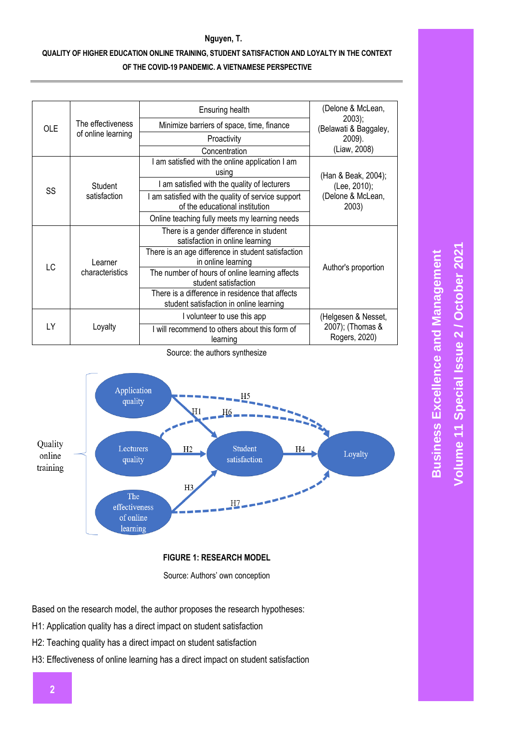**Nguyen, T.**

| <b>OLE</b> |                            | Ensuring health                                                                            | (Delone & McLean,                         |  |  |
|------------|----------------------------|--------------------------------------------------------------------------------------------|-------------------------------------------|--|--|
|            | The effectiveness          | Minimize barriers of space, time, finance                                                  | 2003);<br>(Belawati & Baggaley,<br>2009). |  |  |
|            | of online learning         | Proactivity                                                                                |                                           |  |  |
|            |                            | Concentration                                                                              | (Liaw, 2008)                              |  |  |
|            |                            | I am satisfied with the online application I am<br>using                                   | (Han & Beak, 2004);                       |  |  |
|            | Student                    | I am satisfied with the quality of lecturers                                               | (Lee, 2010);                              |  |  |
| SS         | satisfaction               | I am satisfied with the quality of service support<br>of the educational institution       | (Delone & McLean,<br>2003)                |  |  |
|            |                            | Online teaching fully meets my learning needs                                              |                                           |  |  |
|            |                            | There is a gender difference in student<br>satisfaction in online learning                 |                                           |  |  |
|            | Learner<br>characteristics | There is an age difference in student satisfaction<br>in online learning                   |                                           |  |  |
| LC         |                            | The number of hours of online learning affects<br>student satisfaction                     | Author's proportion                       |  |  |
|            |                            | There is a difference in residence that affects<br>student satisfaction in online learning |                                           |  |  |
| LY         |                            | I volunteer to use this app                                                                | (Helgesen & Nesset,                       |  |  |
|            | Loyalty                    | I will recommend to others about this form of<br>learning                                  | 2007); (Thomas &<br>Rogers, 2020)         |  |  |

Source: the authors synthesize



# **FIGURE 1: RESEARCH MODEL**

Source: Authors' own conception

Based on the research model, the author proposes the research hypotheses:

- H1: Application quality has a direct impact on student satisfaction
- H2: Teaching quality has a direct impact on student satisfaction
- H3: Effectiveness of online learning has a direct impact on student satisfaction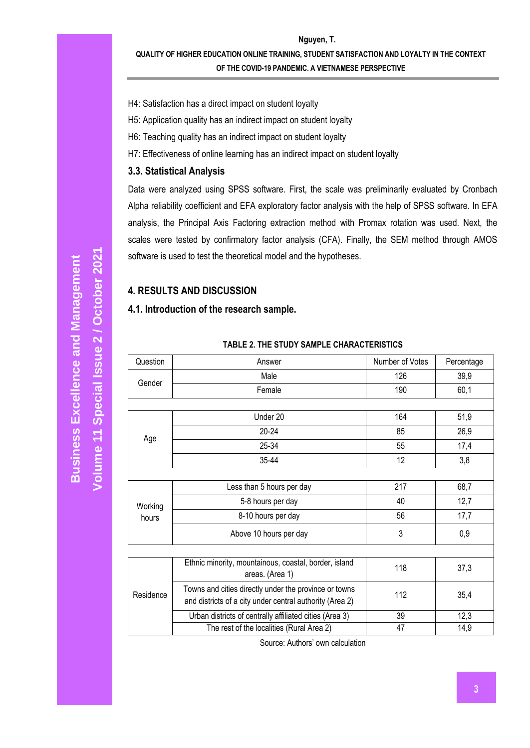- H4: Satisfaction has a direct impact on student loyalty
- H5: Application quality has an indirect impact on student loyalty
- H6: Teaching quality has an indirect impact on student loyalty
- H7: Effectiveness of online learning has an indirect impact on student loyalty

### **3.3. Statistical Analysis**

Data were analyzed using SPSS software. First, the scale was preliminarily evaluated by Cronbach Alpha reliability coefficient and EFA exploratory factor analysis with the help of SPSS software. In EFA analysis, the Principal Axis Factoring extraction method with Promax rotation was used. Next, the scales were tested by confirmatory factor analysis (CFA). Finally, the SEM method through AMOS software is used to test the theoretical model and the hypotheses.

# **4. RESULTS AND DISCUSSION**

### **4.1. Introduction of the research sample.**

| Question  | Answer                                                                                                            | Number of Votes | Percentage |
|-----------|-------------------------------------------------------------------------------------------------------------------|-----------------|------------|
| Gender    | Male                                                                                                              | 126             | 39,9       |
|           | Female                                                                                                            | 190             | 60,1       |
|           |                                                                                                                   |                 |            |
|           | Under 20                                                                                                          | 164             | 51,9       |
|           | $20 - 24$                                                                                                         | 85              | 26,9       |
| Age       | 25-34                                                                                                             | 55              | 17,4       |
|           | 35-44                                                                                                             | 12              | 3,8        |
|           |                                                                                                                   |                 |            |
|           | Less than 5 hours per day                                                                                         | 217             | 68,7       |
| Working   | 5-8 hours per day                                                                                                 | 40              | 12,7       |
| hours     | 8-10 hours per day                                                                                                | 56              | 17,7       |
|           | Above 10 hours per day                                                                                            | 3               | 0,9        |
|           |                                                                                                                   |                 |            |
|           | Ethnic minority, mountainous, coastal, border, island<br>areas. (Area 1)                                          | 118             | 37,3       |
| Residence | Towns and cities directly under the province or towns<br>and districts of a city under central authority (Area 2) | 112             | 35,4       |
|           | Urban districts of centrally affiliated cities (Area 3)                                                           | 39              | 12,3       |
|           | The rest of the localities (Rural Area 2)                                                                         | 47              | 14,9       |

### **TABLE 2. THE STUDY SAMPLE CHARACTERISTICS**

Source: Authors' own calculation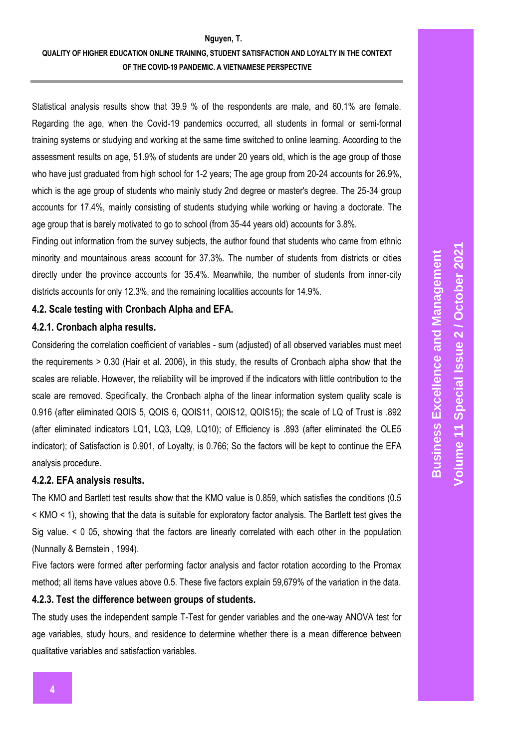#### **Nguyen, T.**

Statistical analysis results show that 39.9 % of the respondents are male, and 60.1% are female. Regarding the age, when the Covid-19 pandemics occurred, all students in formal or semi-formal training systems or studying and working at the same time switched to online learning. According to the assessment results on age, 51.9% of students are under 20 years old, which is the age group of those who have just graduated from high school for 1-2 years; The age group from 20-24 accounts for 26.9%, which is the age group of students who mainly study 2nd degree or master's degree. The 25-34 group accounts for 17.4%, mainly consisting of students studying while working or having a doctorate. The age group that is barely motivated to go to school (from 35-44 years old) accounts for 3.8%.

Finding out information from the survey subjects, the author found that students who came from ethnic minority and mountainous areas account for 37.3%. The number of students from districts or cities directly under the province accounts for 35.4%. Meanwhile, the number of students from inner-city districts accounts for only 12.3%, and the remaining localities accounts for 14.9%.

# **4.2. Scale testing with Cronbach Alpha and EFA.**

# **4.2.1. Cronbach alpha results.**

Considering the correlation coefficient of variables - sum (adjusted) of all observed variables must meet the requirements > 0.30 (Hair et al. 2006), in this study, the results of Cronbach alpha show that the scales are reliable. However, the reliability will be improved if the indicators with little contribution to the scale are removed. Specifically, the Cronbach alpha of the linear information system quality scale is 0.916 (after eliminated QOIS 5, QOIS 6, QOIS11, QOIS12, QOIS15); the scale of LQ of Trust is .892 (after eliminated indicators LQ1, LQ3, LQ9, LQ10); of Efficiency is .893 (after eliminated the OLE5 indicator); of Satisfaction is 0.901, of Loyalty, is 0.766; So the factors will be kept to continue the EFA analysis procedure.

### **4.2.2. EFA analysis results.**

The KMO and Bartlett test results show that the KMO value is 0.859, which satisfies the conditions (0.5 < KMO < 1), showing that the data is suitable for exploratory factor analysis. The Bartlett test gives the Sig value. < 0 05, showing that the factors are linearly correlated with each other in the population (Nunnally & Bernstein , 1994).

Five factors were formed after performing factor analysis and factor rotation according to the Promax method; all items have values above 0.5. These five factors explain 59,679% of the variation in the data.

# **4.2.3. Test the difference between groups of students.**

The study uses the independent sample T-Test for gender variables and the one-way ANOVA test for age variables, study hours, and residence to determine whether there is a mean difference between qualitative variables and satisfaction variables.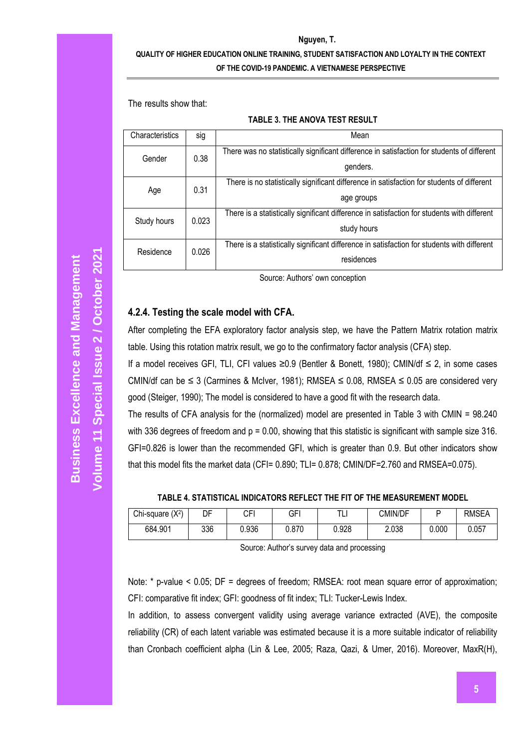**Nguyen, T.**

The results show that:

#### **TABLE 3. THE ANOVA TEST RESULT**

| Characteristics | sig   | Mean                                                                                                       |  |  |  |
|-----------------|-------|------------------------------------------------------------------------------------------------------------|--|--|--|
| Gender          | 0.38  | There was no statistically significant difference in satisfaction for students of different<br>genders.    |  |  |  |
| Age             | 0.31  | There is no statistically significant difference in satisfaction for students of different<br>age groups   |  |  |  |
| Study hours     | 0.023 | There is a statistically significant difference in satisfaction for students with different<br>study hours |  |  |  |
| Residence       | 0.026 | There is a statistically significant difference in satisfaction for students with different<br>residences  |  |  |  |

Source: Authors' own conception

### **4.2.4. Testing the scale model with CFA.**

After completing the EFA exploratory factor analysis step, we have the Pattern Matrix rotation matrix table. Using this rotation matrix result, we go to the confirmatory factor analysis (CFA) step.

If a model receives GFI, TLI, CFI values ≥0.9 (Bentler & Bonett, 1980); CMIN/df ≤ 2, in some cases CMIN/df can be  $\leq 3$  (Carmines & McIver, 1981); RMSEA  $\leq 0.08$ , RMSEA  $\leq 0.05$  are considered very good (Steiger, 1990); The model is considered to have a good fit with the research data.

The results of CFA analysis for the (normalized) model are presented in Table 3 with CMIN = 98.240 with 336 degrees of freedom and  $p = 0.00$ , showing that this statistic is significant with sample size 316. GFI=0.826 is lower than the recommended GFI, which is greater than 0.9. But other indicators show that this model fits the market data (CFI= 0.890; TLI= 0.878; CMIN/DF=2.760 and RMSEA=0.075).

**TABLE 4. STATISTICAL INDICATORS REFLECT THE FIT OF THE MEASUREMENT MODEL**

| Chi-square $(X^2)$ | DF  | CFI   | GFI   | т.<br>ы | CMIN/DF |       | <b>RMSEA</b> |
|--------------------|-----|-------|-------|---------|---------|-------|--------------|
| 684.901            | 336 | 0.936 | 0.870 | 0.928   | 2.038   | 0.000 | 0.057        |

Source: Author's survey data and processing

Note: \* p-value < 0.05; DF = degrees of freedom; RMSEA: root mean square error of approximation; CFI: comparative fit index; GFI: goodness of fit index; TLI: Tucker-Lewis Index.

In addition, to assess convergent validity using average variance extracted (AVE), the composite reliability (CR) of each latent variable was estimated because it is a more suitable indicator of reliability than Cronbach coefficient alpha (Lin & Lee, 2005; Raza, Qazi, & Umer, 2016). Moreover, MaxR(H),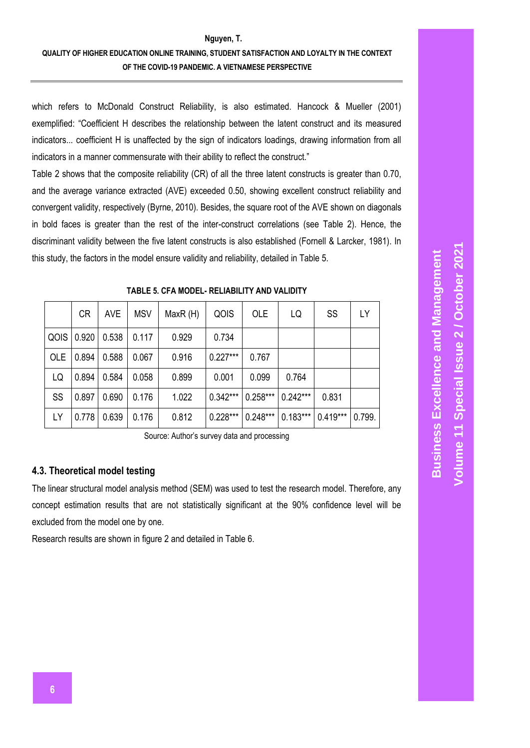which refers to McDonald Construct Reliability, is also estimated. Hancock & Mueller (2001) exemplified: "Coefficient H describes the relationship between the latent construct and its measured indicators... coefficient H is unaffected by the sign of indicators loadings, drawing information from all indicators in a manner commensurate with their ability to reflect the construct."

Table 2 shows that the composite reliability (CR) of all the three latent constructs is greater than 0.70, and the average variance extracted (AVE) exceeded 0.50, showing excellent construct reliability and convergent validity, respectively (Byrne, 2010). Besides, the square root of the AVE shown on diagonals in bold faces is greater than the rest of the inter-construct correlations (see Table 2). Hence, the discriminant validity between the five latent constructs is also established (Fornell & Larcker, 1981). In this study, the factors in the model ensure validity and reliability, detailed in Table 5.

|            | <b>CR</b> | <b>AVE</b> | <b>MSV</b> | MaxR(H) | QOIS       | <b>OLE</b> | LQ         | SS         | LY     |
|------------|-----------|------------|------------|---------|------------|------------|------------|------------|--------|
| QOIS       | 0.920     | 0.538      | 0.117      | 0.929   | 0.734      |            |            |            |        |
| <b>OLE</b> | 0.894     | 0.588      | 0.067      | 0.916   | $0.227***$ | 0.767      |            |            |        |
| LQ         | 0.894     | 0.584      | 0.058      | 0.899   | 0.001      | 0.099      | 0.764      |            |        |
| SS         | 0.897     | 0.690      | 0.176      | 1.022   | $0.342***$ | $0.258***$ | $0.242***$ | 0.831      |        |
| LY         | 0.778     | 0.639      | 0.176      | 0.812   | $0.228***$ | $0.248***$ | $0.183***$ | $0.419***$ | 0.799. |

**TABLE 5. CFA MODEL- RELIABILITY AND VALIDITY**

Source: Author's survey data and processing

# **4.3. Theoretical model testing**

The linear structural model analysis method (SEM) was used to test the research model. Therefore, any concept estimation results that are not statistically significant at the 90% confidence level will be excluded from the model one by one.

Research results are shown in figure 2 and detailed in Table 6.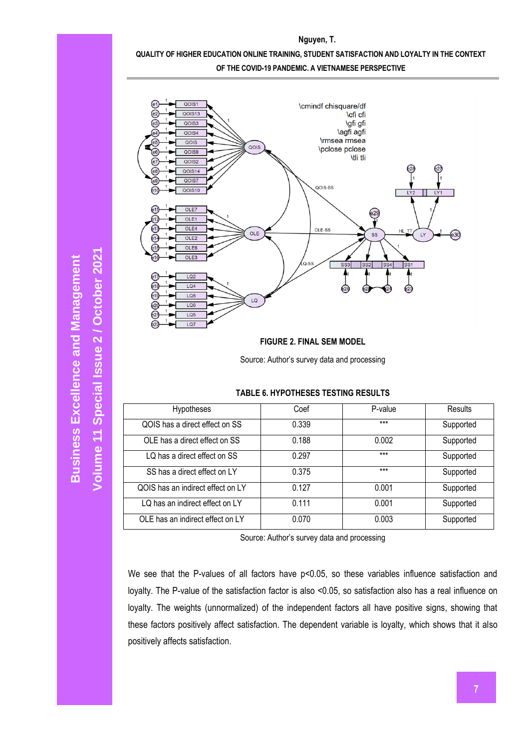

**Nguyen, T. QUALITY OF HIGHER EDUCATION ONLINE TRAINING, STUDENT SATISFACTION AND LOYALTY IN THE CONTEXT** 

Source: Author's survey data and processing

#### **TABLE 6. HYPOTHESES TESTING RESULTS**

| <b>Hypotheses</b>                 | Coef  | P-value | Results   |
|-----------------------------------|-------|---------|-----------|
| QOIS has a direct effect on SS    | 0.339 | $***$   | Supported |
| OLE has a direct effect on SS     | 0.188 | 0.002   | Supported |
| LQ has a direct effect on SS      | 0.297 | $***$   | Supported |
| SS has a direct effect on LY      | 0.375 | $***$   | Supported |
| QOIS has an indirect effect on LY | 0.127 | 0.001   | Supported |
| LQ has an indirect effect on LY   | 0.111 | 0.001   | Supported |
| OLE has an indirect effect on LY  | 0.070 | 0.003   | Supported |

Source: Author's survey data and processing

We see that the P-values of all factors have p<0.05, so these variables influence satisfaction and loyalty. The P-value of the satisfaction factor is also <0.05, so satisfaction also has a real influence on loyalty. The weights (unnormalized) of the independent factors all have positive signs, showing that these factors positively affect satisfaction. The dependent variable is loyalty, which shows that it also positively affects satisfaction.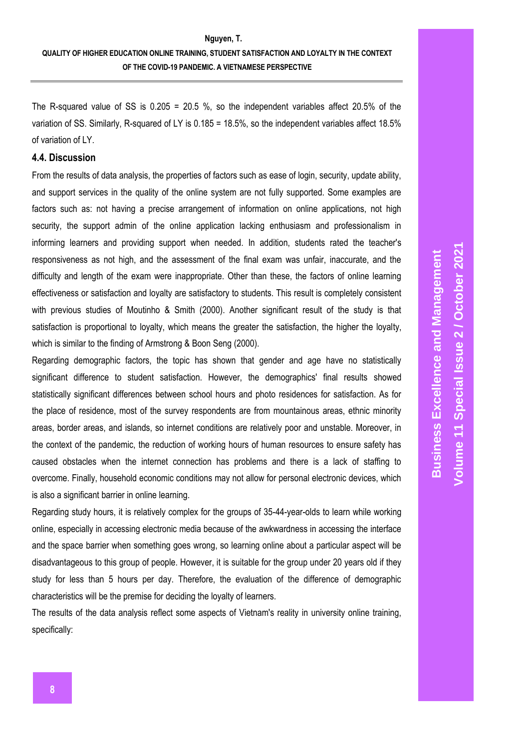The R-squared value of SS is  $0.205 = 20.5$  %, so the independent variables affect 20.5% of the variation of SS. Similarly, R-squared of LY is 0.185 = 18.5%, so the independent variables affect 18.5% of variation of LY.

### **4.4. Discussion**

From the results of data analysis, the properties of factors such as ease of login, security, update ability, and support services in the quality of the online system are not fully supported. Some examples are factors such as: not having a precise arrangement of information on online applications, not high security, the support admin of the online application lacking enthusiasm and professionalism in informing learners and providing support when needed. In addition, students rated the teacher's responsiveness as not high, and the assessment of the final exam was unfair, inaccurate, and the difficulty and length of the exam were inappropriate. Other than these, the factors of online learning effectiveness or satisfaction and loyalty are satisfactory to students. This result is completely consistent with previous studies of Moutinho & Smith (2000). Another significant result of the study is that satisfaction is proportional to loyalty, which means the greater the satisfaction, the higher the loyalty, which is similar to the finding of Armstrong & Boon Seng (2000).

Regarding demographic factors, the topic has shown that gender and age have no statistically significant difference to student satisfaction. However, the demographics' final results showed statistically significant differences between school hours and photo residences for satisfaction. As for the place of residence, most of the survey respondents are from mountainous areas, ethnic minority areas, border areas, and islands, so internet conditions are relatively poor and unstable. Moreover, in the context of the pandemic, the reduction of working hours of human resources to ensure safety has caused obstacles when the internet connection has problems and there is a lack of staffing to overcome. Finally, household economic conditions may not allow for personal electronic devices, which is also a significant barrier in online learning.

Regarding study hours, it is relatively complex for the groups of 35-44-year-olds to learn while working online, especially in accessing electronic media because of the awkwardness in accessing the interface and the space barrier when something goes wrong, so learning online about a particular aspect will be disadvantageous to this group of people. However, it is suitable for the group under 20 years old if they study for less than 5 hours per day. Therefore, the evaluation of the difference of demographic characteristics will be the premise for deciding the loyalty of learners.

The results of the data analysis reflect some aspects of Vietnam's reality in university online training, specifically: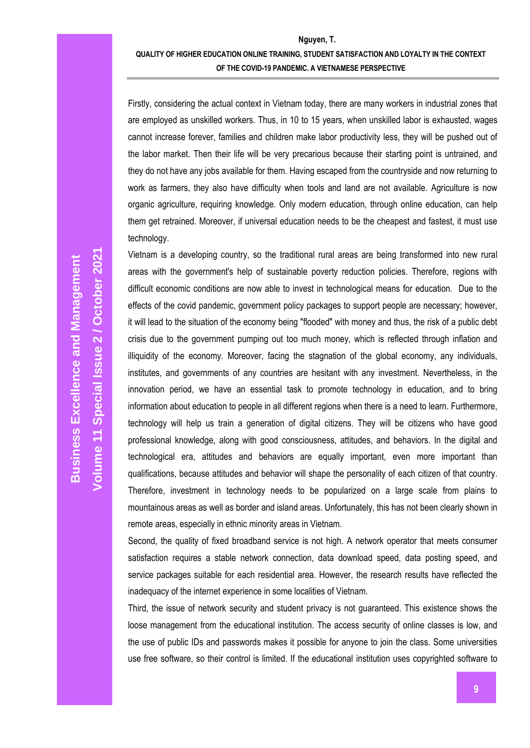Firstly, considering the actual context in Vietnam today, there are many workers in industrial zones that are employed as unskilled workers. Thus, in 10 to 15 years, when unskilled labor is exhausted, wages cannot increase forever, families and children make labor productivity less, they will be pushed out of the labor market. Then their life will be very precarious because their starting point is untrained, and they do not have any jobs available for them. Having escaped from the countryside and now returning to work as farmers, they also have difficulty when tools and land are not available. Agriculture is now organic agriculture, requiring knowledge. Only modern education, through online education, can help them get retrained. Moreover, if universal education needs to be the cheapest and fastest, it must use technology.

Vietnam is a developing country, so the traditional rural areas are being transformed into new rural areas with the government's help of sustainable poverty reduction policies. Therefore, regions with difficult economic conditions are now able to invest in technological means for education. Due to the effects of the covid pandemic, government policy packages to support people are necessary; however, it will lead to the situation of the economy being "flooded" with money and thus, the risk of a public debt crisis due to the government pumping out too much money, which is reflected through inflation and illiquidity of the economy. Moreover, facing the stagnation of the global economy, any individuals, institutes, and governments of any countries are hesitant with any investment. Nevertheless, in the innovation period, we have an essential task to promote technology in education, and to bring information about education to people in all different regions when there is a need to learn. Furthermore, technology will help us train a generation of digital citizens. They will be citizens who have good professional knowledge, along with good consciousness, attitudes, and behaviors. In the digital and technological era, attitudes and behaviors are equally important, even more important than qualifications, because attitudes and behavior will shape the personality of each citizen of that country. Therefore, investment in technology needs to be popularized on a large scale from plains to mountainous areas as well as border and island areas. Unfortunately, this has not been clearly shown in remote areas, especially in ethnic minority areas in Vietnam.

Second, the quality of fixed broadband service is not high. A network operator that meets consumer satisfaction requires a stable network connection, data download speed, data posting speed, and service packages suitable for each residential area. However, the research results have reflected the inadequacy of the internet experience in some localities of Vietnam.

Third, the issue of network security and student privacy is not guaranteed. This existence shows the loose management from the educational institution. The access security of online classes is low, and the use of public IDs and passwords makes it possible for anyone to join the class. Some universities use free software, so their control is limited. If the educational institution uses copyrighted software to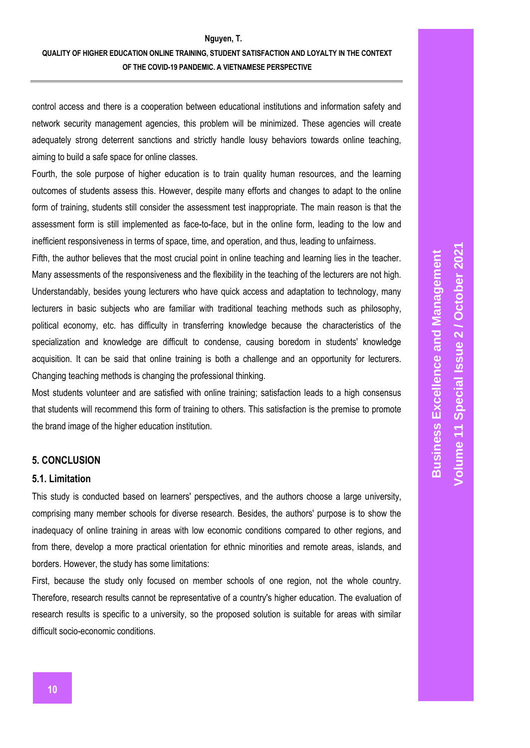control access and there is a cooperation between educational institutions and information safety and network security management agencies, this problem will be minimized. These agencies will create adequately strong deterrent sanctions and strictly handle lousy behaviors towards online teaching, aiming to build a safe space for online classes.

Fourth, the sole purpose of higher education is to train quality human resources, and the learning outcomes of students assess this. However, despite many efforts and changes to adapt to the online form of training, students still consider the assessment test inappropriate. The main reason is that the assessment form is still implemented as face-to-face, but in the online form, leading to the low and inefficient responsiveness in terms of space, time, and operation, and thus, leading to unfairness.

Fifth, the author believes that the most crucial point in online teaching and learning lies in the teacher. Many assessments of the responsiveness and the flexibility in the teaching of the lecturers are not high. Understandably, besides young lecturers who have quick access and adaptation to technology, many lecturers in basic subjects who are familiar with traditional teaching methods such as philosophy, political economy, etc. has difficulty in transferring knowledge because the characteristics of the specialization and knowledge are difficult to condense, causing boredom in students' knowledge acquisition. It can be said that online training is both a challenge and an opportunity for lecturers. Changing teaching methods is changing the professional thinking.

Most students volunteer and are satisfied with online training; satisfaction leads to a high consensus that students will recommend this form of training to others. This satisfaction is the premise to promote the brand image of the higher education institution.

### **5. CONCLUSION**

#### **5.1. Limitation**

This study is conducted based on learners' perspectives, and the authors choose a large university, comprising many member schools for diverse research. Besides, the authors' purpose is to show the inadequacy of online training in areas with low economic conditions compared to other regions, and from there, develop a more practical orientation for ethnic minorities and remote areas, islands, and borders. However, the study has some limitations:

First, because the study only focused on member schools of one region, not the whole country. Therefore, research results cannot be representative of a country's higher education. The evaluation of research results is specific to a university, so the proposed solution is suitable for areas with similar difficult socio-economic conditions.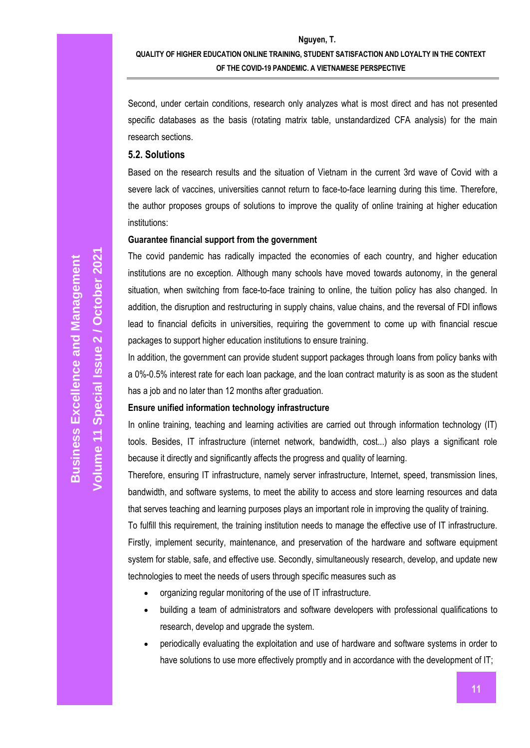Second, under certain conditions, research only analyzes what is most direct and has not presented specific databases as the basis (rotating matrix table, unstandardized CFA analysis) for the main research sections.

#### **5.2. Solutions**

Based on the research results and the situation of Vietnam in the current 3rd wave of Covid with a severe lack of vaccines, universities cannot return to face-to-face learning during this time. Therefore, the author proposes groups of solutions to improve the quality of online training at higher education institutions:

### **Guarantee financial support from the government**

The covid pandemic has radically impacted the economies of each country, and higher education institutions are no exception. Although many schools have moved towards autonomy, in the general situation, when switching from face-to-face training to online, the tuition policy has also changed. In addition, the disruption and restructuring in supply chains, value chains, and the reversal of FDI inflows lead to financial deficits in universities, requiring the government to come up with financial rescue packages to support higher education institutions to ensure training.

In addition, the government can provide student support packages through loans from policy banks with a 0%-0.5% interest rate for each loan package, and the loan contract maturity is as soon as the student has a job and no later than 12 months after graduation.

### **Ensure unified information technology infrastructure**

In online training, teaching and learning activities are carried out through information technology (IT) tools. Besides, IT infrastructure (internet network, bandwidth, cost...) also plays a significant role because it directly and significantly affects the progress and quality of learning.

Therefore, ensuring IT infrastructure, namely server infrastructure, Internet, speed, transmission lines, bandwidth, and software systems, to meet the ability to access and store learning resources and data that serves teaching and learning purposes plays an important role in improving the quality of training.

To fulfill this requirement, the training institution needs to manage the effective use of IT infrastructure. Firstly, implement security, maintenance, and preservation of the hardware and software equipment system for stable, safe, and effective use. Secondly, simultaneously research, develop, and update new technologies to meet the needs of users through specific measures such as

- organizing regular monitoring of the use of IT infrastructure.
- building a team of administrators and software developers with professional qualifications to research, develop and upgrade the system.
- periodically evaluating the exploitation and use of hardware and software systems in order to have solutions to use more effectively promptly and in accordance with the development of IT;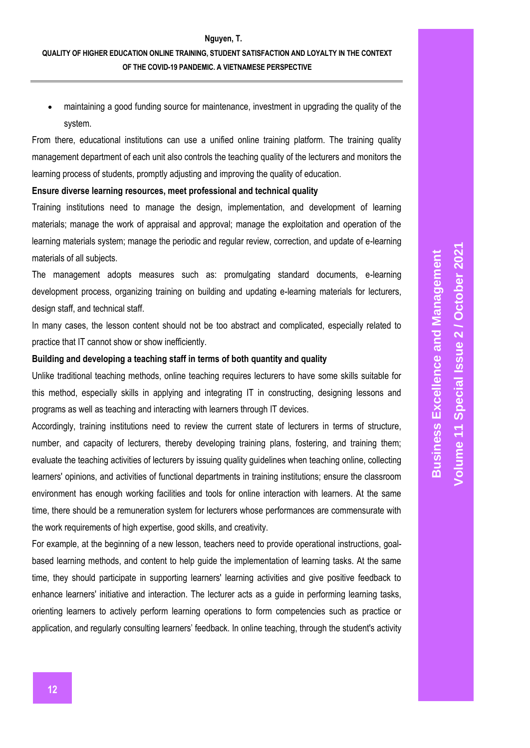maintaining a good funding source for maintenance, investment in upgrading the quality of the system.

From there, educational institutions can use a unified online training platform. The training quality management department of each unit also controls the teaching quality of the lecturers and monitors the learning process of students, promptly adjusting and improving the quality of education.

#### **Ensure diverse learning resources, meet professional and technical quality**

Training institutions need to manage the design, implementation, and development of learning materials; manage the work of appraisal and approval; manage the exploitation and operation of the learning materials system; manage the periodic and regular review, correction, and update of e-learning materials of all subjects.

The management adopts measures such as: promulgating standard documents, e-learning development process, organizing training on building and updating e-learning materials for lecturers, design staff, and technical staff.

In many cases, the lesson content should not be too abstract and complicated, especially related to practice that IT cannot show or show inefficiently.

#### **Building and developing a teaching staff in terms of both quantity and quality**

Unlike traditional teaching methods, online teaching requires lecturers to have some skills suitable for this method, especially skills in applying and integrating IT in constructing, designing lessons and programs as well as teaching and interacting with learners through IT devices.

Accordingly, training institutions need to review the current state of lecturers in terms of structure, number, and capacity of lecturers, thereby developing training plans, fostering, and training them; evaluate the teaching activities of lecturers by issuing quality guidelines when teaching online, collecting learners' opinions, and activities of functional departments in training institutions; ensure the classroom environment has enough working facilities and tools for online interaction with learners. At the same time, there should be a remuneration system for lecturers whose performances are commensurate with the work requirements of high expertise, good skills, and creativity.

For example, at the beginning of a new lesson, teachers need to provide operational instructions, goalbased learning methods, and content to help guide the implementation of learning tasks. At the same time, they should participate in supporting learners' learning activities and give positive feedback to enhance learners' initiative and interaction. The lecturer acts as a guide in performing learning tasks, orienting learners to actively perform learning operations to form competencies such as practice or application, and regularly consulting learners' feedback. In online teaching, through the student's activity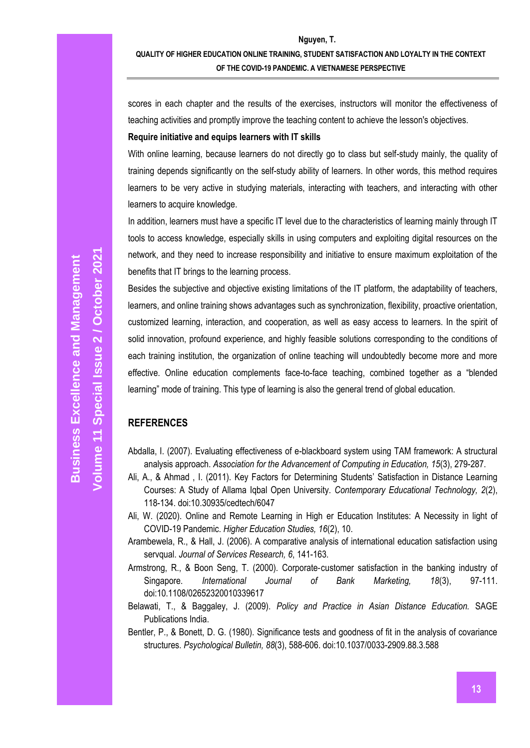scores in each chapter and the results of the exercises, instructors will monitor the effectiveness of teaching activities and promptly improve the teaching content to achieve the lesson's objectives.

### **Require initiative and equips learners with IT skills**

With online learning, because learners do not directly go to class but self-study mainly, the quality of training depends significantly on the self-study ability of learners. In other words, this method requires learners to be very active in studying materials, interacting with teachers, and interacting with other learners to acquire knowledge.

In addition, learners must have a specific IT level due to the characteristics of learning mainly through IT tools to access knowledge, especially skills in using computers and exploiting digital resources on the network, and they need to increase responsibility and initiative to ensure maximum exploitation of the benefits that IT brings to the learning process.

Besides the subjective and objective existing limitations of the IT platform, the adaptability of teachers, learners, and online training shows advantages such as synchronization, flexibility, proactive orientation, customized learning, interaction, and cooperation, as well as easy access to learners. In the spirit of solid innovation, profound experience, and highly feasible solutions corresponding to the conditions of each training institution, the organization of online teaching will undoubtedly become more and more effective. Online education complements face-to-face teaching, combined together as a "blended learning" mode of training. This type of learning is also the general trend of global education.

# **REFERENCES**

- Abdalla, I. (2007). Evaluating effectiveness of e-blackboard system using TAM framework: A structural analysis approach. *Association for the Advancement of Computing in Education, 15*(3), 279-287.
- Ali, A., & Ahmad , I. (2011). Key Factors for Determining Students' Satisfaction in Distance Learning Courses: A Study of Allama Iqbal Open University. *Contemporary Educational Technology, 2*(2), 118-134. doi:10.30935/cedtech/6047
- Ali, W. (2020). Online and Remote Learning in High er Education Institutes: A Necessity in light of COVID-19 Pandemic. *Higher Education Studies, 16*(2), 10.
- Arambewela, R., & Hall, J. (2006). A comparative analysis of international education satisfaction using servqual. *Journal of Services Research, 6*, 141-163.
- Armstrong, R., & Boon Seng, T. (2000). Corporate‐customer satisfaction in the banking industry of Singapore. *International Journal of Bank Marketing, 18*(3), 97-111. doi:10.1108/02652320010339617
- Belawati, T., & Baggaley, J. (2009). *Policy and Practice in Asian Distance Education.* SAGE Publications India.
- Bentler, P., & Bonett, D. G. (1980). Significance tests and goodness of fit in the analysis of covariance structures. *Psychological Bulletin, 88*(3), 588-606. doi:10.1037/0033-2909.88.3.588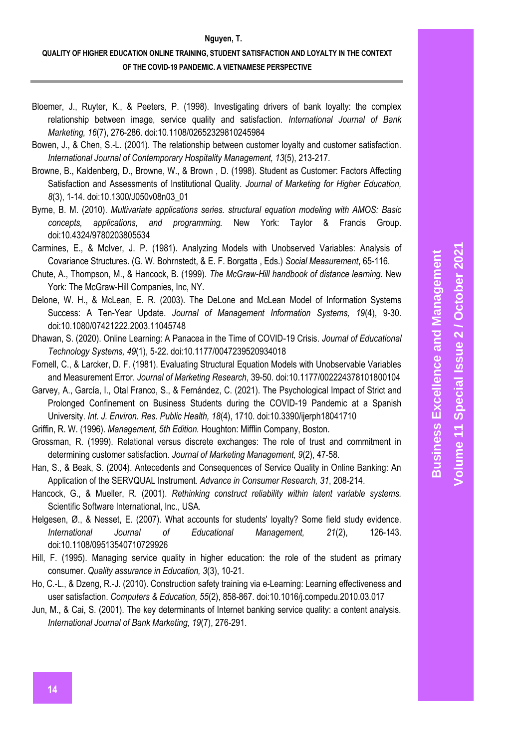#### **Nguyen, T.**

# **QUALITY OF HIGHER EDUCATION ONLINE TRAINING, STUDENT SATISFACTION AND LOYALTY IN THE CONTEXT OF THE COVID-19 PANDEMIC. A VIETNAMESE PERSPECTIVE**

- Bloemer, J., Ruyter, K., & Peeters, P. (1998). Investigating drivers of bank loyalty: the complex relationship between image, service quality and satisfaction. *International Journal of Bank Marketing, 16*(7), 276-286. doi:10.1108/02652329810245984
- Bowen, J., & Chen, S.-L. (2001). The relationship between customer loyalty and customer satisfaction. *International Journal of Contemporary Hospitality Management, 13*(5), 213-217.
- Browne, B., Kaldenberg, D., Browne, W., & Brown , D. (1998). Student as Customer: Factors Affecting Satisfaction and Assessments of Institutional Quality. *Journal of Marketing for Higher Education, 8*(3), 1-14. doi:10.1300/J050v08n03\_01
- Byrne, B. M. (2010). *Multivariate applications series. structural equation modeling with AMOS: Basic concepts, applications, and programming.* New York: Taylor & Francis Group. doi:10.4324/9780203805534
- Carmines, E., & McIver, J. P. (1981). Analyzing Models with Unobserved Variables: Analysis of Covariance Structures. (G. W. Bohrnstedt, & E. F. Borgatta , Eds.) *Social Measurement*, 65-116.
- Chute, A., Thompson, M., & Hancock, B. (1999). *The McGraw-Hill handbook of distance learning.* New York: The McGraw-Hill Companies, Inc, NY.
- Delone, W. H., & McLean, E. R. (2003). The DeLone and McLean Model of Information Systems Success: A Ten-Year Update. *Journal of Management Information Systems, 19*(4), 9-30. doi:10.1080/07421222.2003.11045748
- Dhawan, S. (2020). Online Learning: A Panacea in the Time of COVID-19 Crisis. *Journal of Educational Technology Systems, 49*(1), 5-22. doi:10.1177/0047239520934018
- Fornell, C., & Larcker, D. F. (1981). Evaluating Structural Equation Models with Unobservable Variables and Measurement Error. *Journal of Marketing Research*, 39-50. doi:10.1177/002224378101800104
- Garvey, A., García, I., Otal Franco, S., & Fernández, C. (2021). The Psychological Impact of Strict and Prolonged Confinement on Business Students during the COVID-19 Pandemic at a Spanish University. *Int. J. Environ. Res. Public Health, 18*(4), 1710. doi:10.3390/ijerph18041710

Griffin, R. W. (1996). *Management, 5th Edition.* Houghton: Mifflin Company, Boston.

- Grossman, R. (1999). Relational versus discrete exchanges: The role of trust and commitment in determining customer satisfaction. *Journal of Marketing Management, 9*(2), 47-58.
- Han, S., & Beak, S. (2004). Antecedents and Consequences of Service Quality in Online Banking: An Application of the SERVQUAL Instrument. *Advance in Consumer Research, 31*, 208-214.
- Hancock, G., & Mueller, R. (2001). *Rethinking construct reliability within latent variable systems.* Scientific Software International, Inc., USA.
- Helgesen, Ø., & Nesset, E. (2007). What accounts for students' loyalty? Some field study evidence. *International Journal of Educational Management, 21*(2), 126-143. doi:10.1108/09513540710729926
- Hill, F. (1995). Managing service quality in higher education: the role of the student as primary consumer. *Quality assurance in Education, 3*(3), 10-21.
- Ho, C.-L., & Dzeng, R.-J. (2010). Construction safety training via e-Learning: Learning effectiveness and user satisfaction. *Computers & Education, 55*(2), 858-867. doi:10.1016/j.compedu.2010.03.017
- Jun, M., & Cai, S. (2001). The key determinants of Internet banking service quality: a content analysis. *International Journal of Bank Marketing, 19*(7), 276-291.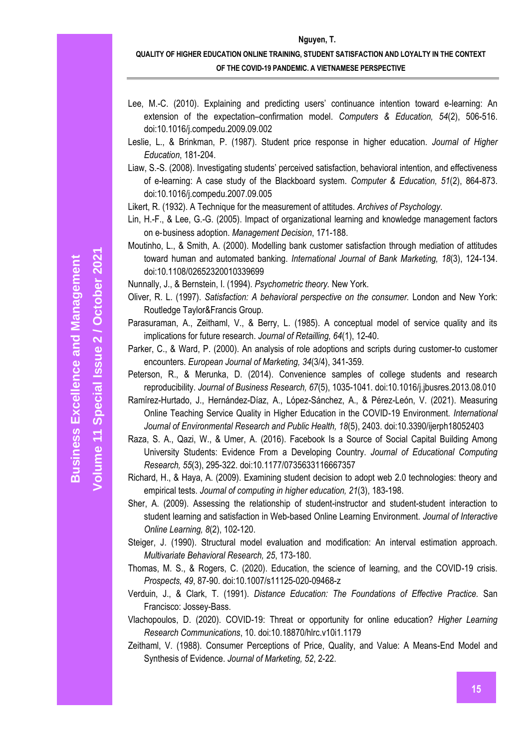#### **Nguyen, T.**

# **QUALITY OF HIGHER EDUCATION ONLINE TRAINING, STUDENT SATISFACTION AND LOYALTY IN THE CONTEXT OF THE COVID-19 PANDEMIC. A VIETNAMESE PERSPECTIVE**

- Lee, M.-C. (2010). Explaining and predicting users' continuance intention toward e-learning: An extension of the expectation–confirmation model. *Computers & Education, 54*(2), 506-516. doi:10.1016/j.compedu.2009.09.002
- Leslie, L., & Brinkman, P. (1987). Student price response in higher education. *Journal of Higher Education*, 181-204.
- Liaw, S.-S. (2008). Investigating students' perceived satisfaction, behavioral intention, and effectiveness of e-learning: A case study of the Blackboard system. *Computer & Education, 51*(2), 864-873. doi:10.1016/j.compedu.2007.09.005
- Likert, R. (1932). A Technique for the measurement of attitudes. *Archives of Psychology*.
- Lin, H.-F., & Lee, G.-G. (2005). Impact of organizational learning and knowledge management factors on e‐business adoption. *Management Decision*, 171-188.
- Moutinho, L., & Smith, A. (2000). Modelling bank customer satisfaction through mediation of attitudes toward human and automated banking. *International Journal of Bank Marketing, 18*(3), 124-134. doi:10.1108/02652320010339699
- Nunnally, J., & Bernstein, I. (1994). *Psychometric theory.* New York.
- Oliver, R. L. (1997). *Satisfaction: A behavioral perspective on the consumer.* London and New York: Routledge Taylor&Francis Group.
- Parasuraman, A., Zeithaml, V., & Berry, L. (1985). A conceptual model of service quality and its implications for future research. *Journal of Retailling, 64*(1), 12-40.
- Parker, C., & Ward, P. (2000). An analysis of role adoptions and scripts during customer-to customer encounters. *European Journal of Marketing, 34*(3/4), 341-359.
- Peterson, R., & Merunka, D. (2014). Convenience samples of college students and research reproducibility. *Journal of Business Research, 67*(5), 1035-1041. doi:10.1016/j.jbusres.2013.08.010
- Ramírez-Hurtado, J., Hernández-Díaz, A., López-Sánchez, A., & Pérez-León, V. (2021). Measuring Online Teaching Service Quality in Higher Education in the COVID-19 Environment. *International Journal of Environmental Research and Public Health, 18*(5), 2403. doi:10.3390/ijerph18052403
- Raza, S. A., Qazi, W., & Umer, A. (2016). Facebook Is a Source of Social Capital Building Among University Students: Evidence From a Developing Country. *Journal of Educational Computing Research, 55*(3), 295-322. doi:10.1177/0735633116667357
- Richard, H., & Haya, A. (2009). Examining student decision to adopt web 2.0 technologies: theory and empirical tests. *Journal of computing in higher education, 21*(3), 183-198.
- Sher, A. (2009). Assessing the relationship of student-instructor and student-student interaction to student learning and satisfaction in Web-based Online Learning Environment. *Journal of Interactive Online Learning, 8*(2), 102-120.
- Steiger, J. (1990). Structural model evaluation and modification: An interval estimation approach. *Multivariate Behavioral Research, 25*, 173-180.
- Thomas, M. S., & Rogers, C. (2020). Education, the science of learning, and the COVID-19 crisis. *Prospects, 49*, 87-90. doi:10.1007/s11125-020-09468-z
- Verduin, J., & Clark, T. (1991). *Distance Education: The Foundations of Effective Practice.* San Francisco: Jossey-Bass.
- Vlachopoulos, D. (2020). COVID-19: Threat or opportunity for online education? *Higher Learning Research Communications*, 10. doi:10.18870/hlrc.v10i1.1179
- Zeithaml, V. (1988). Consumer Perceptions of Price, Quality, and Value: A Means-End Model and Synthesis of Evidence. *Journal of Marketing, 52*, 2-22.